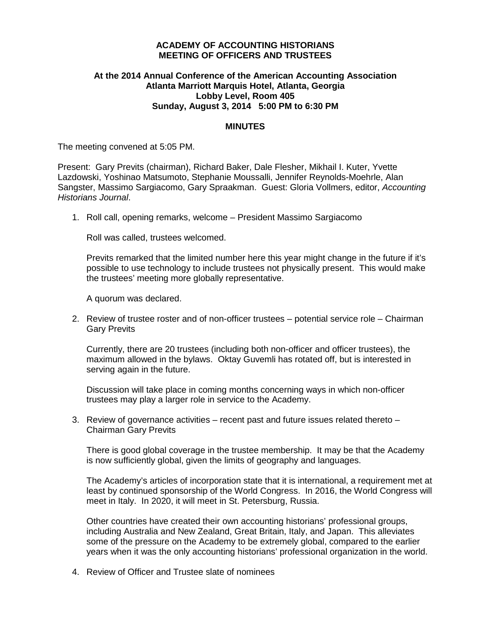## **ACADEMY OF ACCOUNTING HISTORIANS MEETING OF OFFICERS AND TRUSTEES**

# **At the 2014 Annual Conference of the American Accounting Association Atlanta Marriott Marquis Hotel, Atlanta, Georgia Lobby Level, Room 405 Sunday, August 3, 2014 5:00 PM to 6:30 PM**

## **MINUTES**

The meeting convened at 5:05 PM.

Present: Gary Previts (chairman), Richard Baker, Dale Flesher, Mikhail I. Kuter, Yvette Lazdowski, Yoshinao Matsumoto, Stephanie Moussalli, Jennifer Reynolds-Moehrle, Alan Sangster, Massimo Sargiacomo, Gary Spraakman. Guest: Gloria Vollmers, editor, *Accounting Historians Journal*.

1. Roll call, opening remarks, welcome – President Massimo Sargiacomo

Roll was called, trustees welcomed.

Previts remarked that the limited number here this year might change in the future if it's possible to use technology to include trustees not physically present. This would make the trustees' meeting more globally representative.

A quorum was declared.

2. Review of trustee roster and of non-officer trustees – potential service role – Chairman Gary Previts

Currently, there are 20 trustees (including both non-officer and officer trustees), the maximum allowed in the bylaws. Oktay Guvemli has rotated off, but is interested in serving again in the future.

Discussion will take place in coming months concerning ways in which non-officer trustees may play a larger role in service to the Academy.

3. Review of governance activities – recent past and future issues related thereto – Chairman Gary Previts

There is good global coverage in the trustee membership. It may be that the Academy is now sufficiently global, given the limits of geography and languages.

The Academy's articles of incorporation state that it is international, a requirement met at least by continued sponsorship of the World Congress. In 2016, the World Congress will meet in Italy. In 2020, it will meet in St. Petersburg, Russia.

Other countries have created their own accounting historians' professional groups, including Australia and New Zealand, Great Britain, Italy, and Japan. This alleviates some of the pressure on the Academy to be extremely global, compared to the earlier years when it was the only accounting historians' professional organization in the world.

4. Review of Officer and Trustee slate of nominees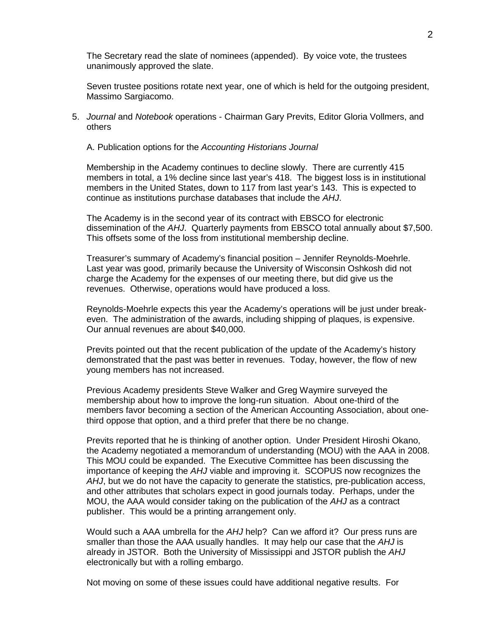The Secretary read the slate of nominees (appended). By voice vote, the trustees unanimously approved the slate.

Seven trustee positions rotate next year, one of which is held for the outgoing president, Massimo Sargiacomo.

5. *Journal* and *Notebook* operations - Chairman Gary Previts, Editor Gloria Vollmers, and others

A. Publication options for the *Accounting Historians Journal*

Membership in the Academy continues to decline slowly. There are currently 415 members in total, a 1% decline since last year's 418. The biggest loss is in institutional members in the United States, down to 117 from last year's 143. This is expected to continue as institutions purchase databases that include the *AHJ*.

The Academy is in the second year of its contract with EBSCO for electronic dissemination of the *AHJ*. Quarterly payments from EBSCO total annually about \$7,500. This offsets some of the loss from institutional membership decline.

Treasurer's summary of Academy's financial position – Jennifer Reynolds-Moehrle. Last year was good, primarily because the University of Wisconsin Oshkosh did not charge the Academy for the expenses of our meeting there, but did give us the revenues. Otherwise, operations would have produced a loss.

Reynolds-Moehrle expects this year the Academy's operations will be just under breakeven. The administration of the awards, including shipping of plaques, is expensive. Our annual revenues are about \$40,000.

Previts pointed out that the recent publication of the update of the Academy's history demonstrated that the past was better in revenues. Today, however, the flow of new young members has not increased.

Previous Academy presidents Steve Walker and Greg Waymire surveyed the membership about how to improve the long-run situation. About one-third of the members favor becoming a section of the American Accounting Association, about onethird oppose that option, and a third prefer that there be no change.

Previts reported that he is thinking of another option. Under President Hiroshi Okano, the Academy negotiated a memorandum of understanding (MOU) with the AAA in 2008. This MOU could be expanded. The Executive Committee has been discussing the importance of keeping the *AHJ* viable and improving it. SCOPUS now recognizes the *AHJ*, but we do not have the capacity to generate the statistics, pre-publication access, and other attributes that scholars expect in good journals today. Perhaps, under the MOU, the AAA would consider taking on the publication of the *AHJ* as a contract publisher. This would be a printing arrangement only.

Would such a AAA umbrella for the *AHJ* help? Can we afford it? Our press runs are smaller than those the AAA usually handles. It may help our case that the *AHJ* is already in JSTOR. Both the University of Mississippi and JSTOR publish the *AHJ* electronically but with a rolling embargo.

Not moving on some of these issues could have additional negative results. For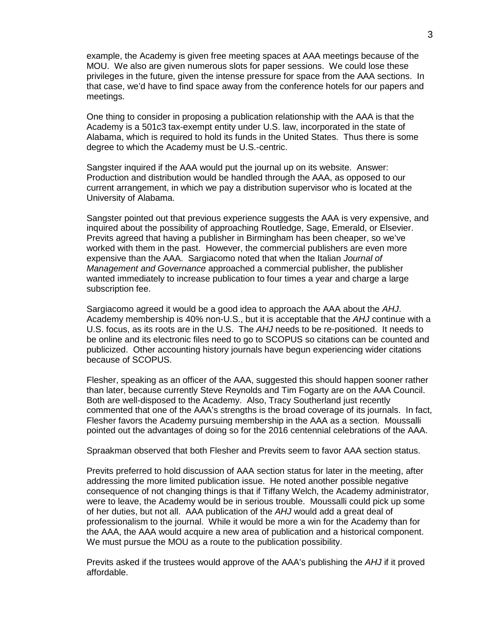example, the Academy is given free meeting spaces at AAA meetings because of the MOU. We also are given numerous slots for paper sessions. We could lose these privileges in the future, given the intense pressure for space from the AAA sections. In that case, we'd have to find space away from the conference hotels for our papers and meetings.

One thing to consider in proposing a publication relationship with the AAA is that the Academy is a 501c3 tax-exempt entity under U.S. law, incorporated in the state of Alabama, which is required to hold its funds in the United States. Thus there is some degree to which the Academy must be U.S.-centric.

Sangster inquired if the AAA would put the journal up on its website. Answer: Production and distribution would be handled through the AAA, as opposed to our current arrangement, in which we pay a distribution supervisor who is located at the University of Alabama.

Sangster pointed out that previous experience suggests the AAA is very expensive, and inquired about the possibility of approaching Routledge, Sage, Emerald, or Elsevier. Previts agreed that having a publisher in Birmingham has been cheaper, so we've worked with them in the past. However, the commercial publishers are even more expensive than the AAA. Sargiacomo noted that when the Italian *Journal of Management and Governance* approached a commercial publisher, the publisher wanted immediately to increase publication to four times a year and charge a large subscription fee.

Sargiacomo agreed it would be a good idea to approach the AAA about the *AHJ*. Academy membership is 40% non-U.S., but it is acceptable that the *AHJ* continue with a U.S. focus, as its roots are in the U.S. The *AHJ* needs to be re-positioned. It needs to be online and its electronic files need to go to SCOPUS so citations can be counted and publicized. Other accounting history journals have begun experiencing wider citations because of SCOPUS.

Flesher, speaking as an officer of the AAA, suggested this should happen sooner rather than later, because currently Steve Reynolds and Tim Fogarty are on the AAA Council. Both are well-disposed to the Academy. Also, Tracy Southerland just recently commented that one of the AAA's strengths is the broad coverage of its journals. In fact, Flesher favors the Academy pursuing membership in the AAA as a section. Moussalli pointed out the advantages of doing so for the 2016 centennial celebrations of the AAA.

Spraakman observed that both Flesher and Previts seem to favor AAA section status.

Previts preferred to hold discussion of AAA section status for later in the meeting, after addressing the more limited publication issue. He noted another possible negative consequence of not changing things is that if Tiffany Welch, the Academy administrator, were to leave, the Academy would be in serious trouble. Moussalli could pick up some of her duties, but not all. AAA publication of the *AHJ* would add a great deal of professionalism to the journal. While it would be more a win for the Academy than for the AAA, the AAA would acquire a new area of publication and a historical component. We must pursue the MOU as a route to the publication possibility.

Previts asked if the trustees would approve of the AAA's publishing the *AHJ* if it proved affordable.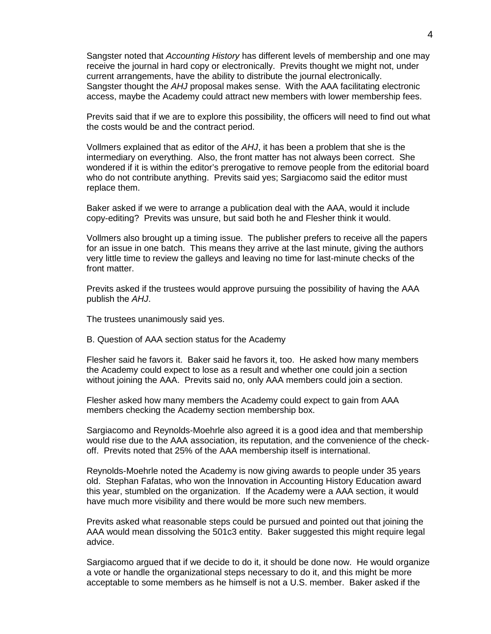Sangster noted that *Accounting History* has different levels of membership and one may receive the journal in hard copy or electronically. Previts thought we might not, under current arrangements, have the ability to distribute the journal electronically. Sangster thought the *AHJ* proposal makes sense. With the AAA facilitating electronic access, maybe the Academy could attract new members with lower membership fees.

Previts said that if we are to explore this possibility, the officers will need to find out what the costs would be and the contract period.

Vollmers explained that as editor of the *AHJ*, it has been a problem that she is the intermediary on everything. Also, the front matter has not always been correct. She wondered if it is within the editor's prerogative to remove people from the editorial board who do not contribute anything. Previts said yes; Sargiacomo said the editor must replace them.

Baker asked if we were to arrange a publication deal with the AAA, would it include copy-editing? Previts was unsure, but said both he and Flesher think it would.

Vollmers also brought up a timing issue. The publisher prefers to receive all the papers for an issue in one batch. This means they arrive at the last minute, giving the authors very little time to review the galleys and leaving no time for last-minute checks of the front matter.

Previts asked if the trustees would approve pursuing the possibility of having the AAA publish the *AHJ*.

The trustees unanimously said yes.

B. Question of AAA section status for the Academy

Flesher said he favors it. Baker said he favors it, too. He asked how many members the Academy could expect to lose as a result and whether one could join a section without joining the AAA. Previts said no, only AAA members could join a section.

Flesher asked how many members the Academy could expect to gain from AAA members checking the Academy section membership box.

Sargiacomo and Reynolds-Moehrle also agreed it is a good idea and that membership would rise due to the AAA association, its reputation, and the convenience of the checkoff. Previts noted that 25% of the AAA membership itself is international.

Reynolds-Moehrle noted the Academy is now giving awards to people under 35 years old. Stephan Fafatas, who won the Innovation in Accounting History Education award this year, stumbled on the organization. If the Academy were a AAA section, it would have much more visibility and there would be more such new members.

Previts asked what reasonable steps could be pursued and pointed out that joining the AAA would mean dissolving the 501c3 entity. Baker suggested this might require legal advice.

Sargiacomo argued that if we decide to do it, it should be done now. He would organize a vote or handle the organizational steps necessary to do it, and this might be more acceptable to some members as he himself is not a U.S. member. Baker asked if the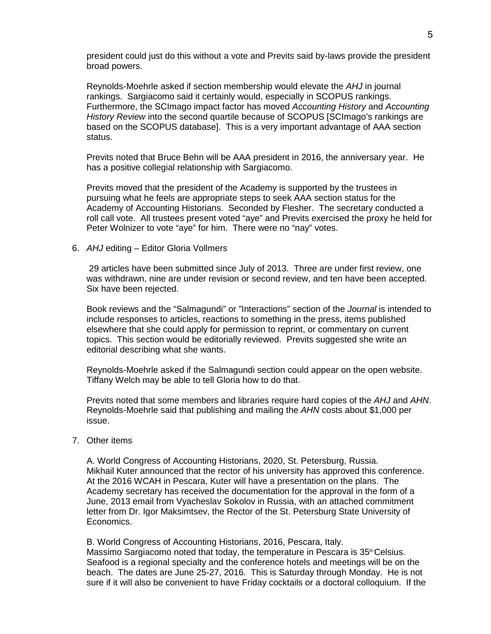president could just do this without a vote and Previts said by-laws provide the president broad powers.

Reynolds-Moehrle asked if section membership would elevate the *AHJ* in journal rankings. Sargiacomo said it certainly would, especially in SCOPUS rankings. Furthermore, the SCImago impact factor has moved *Accounting History* and *Accounting History Review* into the second quartile because of SCOPUS [SCImago's rankings are based on the SCOPUS database]. This is a very important advantage of AAA section status.

Previts noted that Bruce Behn will be AAA president in 2016, the anniversary year. He has a positive collegial relationship with Sargiacomo.

Previts moved that the president of the Academy is supported by the trustees in pursuing what he feels are appropriate steps to seek AAA section status for the Academy of Accounting Historians. Seconded by Flesher. The secretary conducted a roll call vote. All trustees present voted "aye" and Previts exercised the proxy he held for Peter Wolnizer to vote "aye" for him. There were no "nay" votes.

6. *AHJ* editing – Editor Gloria Vollmers

29 articles have been submitted since July of 2013. Three are under first review, one was withdrawn, nine are under revision or second review, and ten have been accepted. Six have been rejected.

Book reviews and the "Salmagundi" or "Interactions" section of the *Journal* is intended to include responses to articles, reactions to something in the press, items published elsewhere that she could apply for permission to reprint, or commentary on current topics. This section would be editorially reviewed. Previts suggested she write an editorial describing what she wants.

Reynolds-Moehrle asked if the Salmagundi section could appear on the open website. Tiffany Welch may be able to tell Gloria how to do that.

Previts noted that some members and libraries require hard copies of the *AHJ* and *AHN*. Reynolds-Moehrle said that publishing and mailing the *AHN* costs about \$1,000 per issue.

### 7. Other items

A. World Congress of Accounting Historians, 2020, St. Petersburg, Russia. Mikhail Kuter announced that the rector of his university has approved this conference. At the 2016 WCAH in Pescara, Kuter will have a presentation on the plans. The Academy secretary has received the documentation for the approval in the form of a June, 2013 email from Vyacheslav Sokolov in Russia, with an attached commitment letter from Dr. Igor Maksimtsev, the Rector of the St. Petersburg State University of Economics.

B. World Congress of Accounting Historians, 2016, Pescara, Italy. Massimo Sargiacomo noted that today, the temperature in Pescara is  $35^{\circ}$  Celsius. Seafood is a regional specialty and the conference hotels and meetings will be on the beach. The dates are June 25-27, 2016. This is Saturday through Monday. He is not sure if it will also be convenient to have Friday cocktails or a doctoral colloquium. If the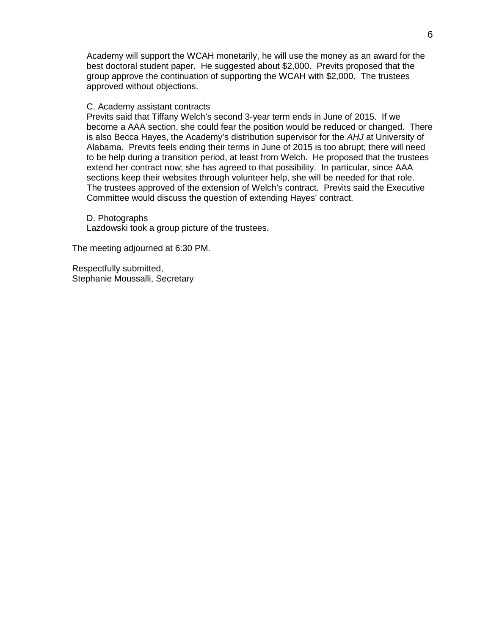Academy will support the WCAH monetarily, he will use the money as an award for the best doctoral student paper. He suggested about \$2,000. Previts proposed that the group approve the continuation of supporting the WCAH with \$2,000. The trustees approved without objections.

#### C. Academy assistant contracts

Previts said that Tiffany Welch's second 3-year term ends in June of 2015. If we become a AAA section, she could fear the position would be reduced or changed. There is also Becca Hayes, the Academy's distribution supervisor for the *AHJ* at University of Alabama. Previts feels ending their terms in June of 2015 is too abrupt; there will need to be help during a transition period, at least from Welch. He proposed that the trustees extend her contract now; she has agreed to that possibility. In particular, since AAA sections keep their websites through volunteer help, she will be needed for that role. The trustees approved of the extension of Welch's contract. Previts said the Executive Committee would discuss the question of extending Hayes' contract.

D. Photographs Lazdowski took a group picture of the trustees.

The meeting adjourned at 6:30 PM.

Respectfully submitted, Stephanie Moussalli, Secretary